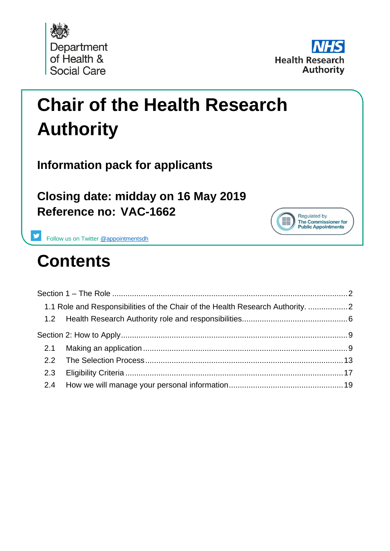



# **Chair of the Health Research Authority**

**Information pack for applicants**

**Closing date: midday on 16 May 2019 Reference no: VAC-1662**



Follow us on Twitter [@appointmentsdh](https://twitter.com/search?q=%40appointmentsdh&src=typd)

# **Contents**

| 1.1 Role and Responsibilities of the Chair of the Health Research Authority. 2 |  |
|--------------------------------------------------------------------------------|--|
|                                                                                |  |
|                                                                                |  |
|                                                                                |  |
|                                                                                |  |
|                                                                                |  |
|                                                                                |  |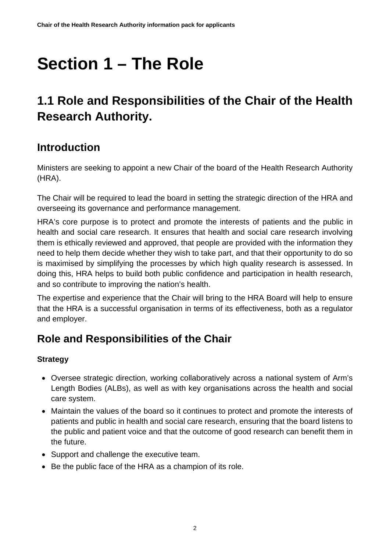# <span id="page-1-0"></span>**Section 1 – The Role**

## <span id="page-1-1"></span>**1.1 Role and Responsibilities of the Chair of the Health Research Authority.**

## **Introduction**

Ministers are seeking to appoint a new Chair of the board of the Health Research Authority (HRA).

The Chair will be required to lead the board in setting the strategic direction of the HRA and overseeing its governance and performance management.

HRA's core purpose is to protect and promote the interests of patients and the public in health and social care research. It ensures that health and social care research involving them is ethically reviewed and approved, that people are provided with the information they need to help them decide whether they wish to take part, and that their opportunity to do so is maximised by simplifying the processes by which high quality research is assessed. In doing this, HRA helps to build both public confidence and participation in health research, and so contribute to improving the nation's health.

The expertise and experience that the Chair will bring to the HRA Board will help to ensure that the HRA is a successful organisation in terms of its effectiveness, both as a regulator and employer.

## **Role and Responsibilities of the Chair**

#### **Strategy**

- Oversee strategic direction, working collaboratively across a national system of Arm's Length Bodies (ALBs), as well as with key organisations across the health and social care system.
- Maintain the values of the board so it continues to protect and promote the interests of patients and public in health and social care research, ensuring that the board listens to the public and patient voice and that the outcome of good research can benefit them in the future.
- Support and challenge the executive team.
- Be the public face of the HRA as a champion of its role.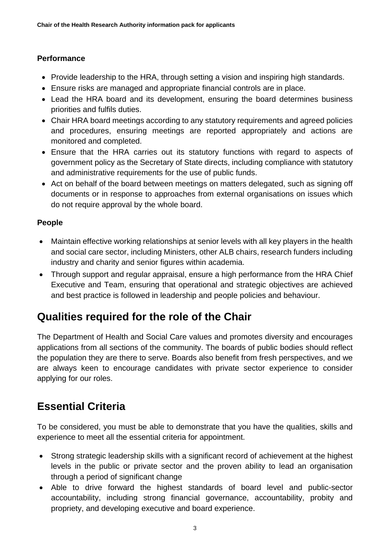#### **Performance**

- Provide leadership to the HRA, through setting a vision and inspiring high standards.
- Ensure risks are managed and appropriate financial controls are in place.
- Lead the HRA board and its development, ensuring the board determines business priorities and fulfils duties.
- Chair HRA board meetings according to any statutory requirements and agreed policies and procedures, ensuring meetings are reported appropriately and actions are monitored and completed.
- Ensure that the HRA carries out its statutory functions with regard to aspects of government policy as the Secretary of State directs, including compliance with statutory and administrative requirements for the use of public funds.
- Act on behalf of the board between meetings on matters delegated, such as signing off documents or in response to approaches from external organisations on issues which do not require approval by the whole board.

#### **People**

- Maintain effective working relationships at senior levels with all key players in the health and social care sector, including Ministers, other ALB chairs, research funders including industry and charity and senior figures within academia.
- Through support and regular appraisal, ensure a high performance from the HRA Chief Executive and Team, ensuring that operational and strategic objectives are achieved and best practice is followed in leadership and people policies and behaviour.

## **Qualities required for the role of the Chair**

The Department of Health and Social Care values and promotes diversity and encourages applications from all sections of the community. The boards of public bodies should reflect the population they are there to serve. Boards also benefit from fresh perspectives, and we are always keen to encourage candidates with private sector experience to consider applying for our roles.

## **Essential Criteria**

To be considered, you must be able to demonstrate that you have the qualities, skills and experience to meet all the essential criteria for appointment.

- Strong strategic leadership skills with a significant record of achievement at the highest levels in the public or private sector and the proven ability to lead an organisation through a period of significant change
- Able to drive forward the highest standards of board level and public-sector accountability, including strong financial governance, accountability, probity and propriety, and developing executive and board experience.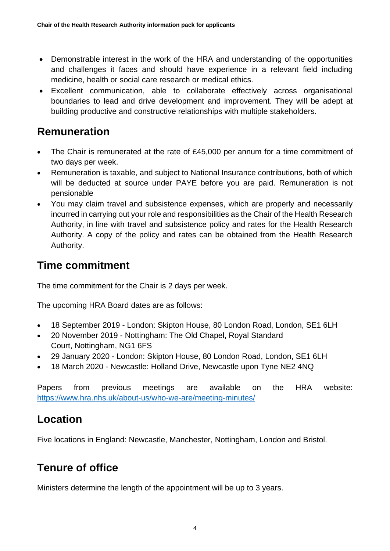- Demonstrable interest in the work of the HRA and understanding of the opportunities and challenges it faces and should have experience in a relevant field including medicine, health or social care research or medical ethics.
- Excellent communication, able to collaborate effectively across organisational boundaries to lead and drive development and improvement. They will be adept at building productive and constructive relationships with multiple stakeholders.

#### **Remuneration**

- The Chair is remunerated at the rate of £45,000 per annum for a time commitment of two days per week.
- Remuneration is taxable, and subject to National Insurance contributions, both of which will be deducted at source under PAYE before you are paid. Remuneration is not pensionable
- You may claim travel and subsistence expenses, which are properly and necessarily incurred in carrying out your role and responsibilities as the Chair of the Health Research Authority, in line with travel and subsistence policy and rates for the Health Research Authority. A copy of the policy and rates can be obtained from the Health Research Authority.

#### **Time commitment**

The time commitment for the Chair is 2 days per week.

The upcoming HRA Board dates are as follows:

- 18 September 2019 London: Skipton House, 80 London Road, London, SE1 6LH
- 20 November 2019 Nottingham: The Old Chapel, Royal Standard Court, Nottingham, NG1 6FS
- 29 January 2020 London: Skipton House, 80 London Road, London, SE1 6LH
- 18 March 2020 Newcastle: Holland Drive, Newcastle upon Tyne NE2 4NQ

Papers from previous meetings are available on the HRA website: <https://www.hra.nhs.uk/about-us/who-we-are/meeting-minutes/>

#### **Location**

Five locations in England: Newcastle, Manchester, Nottingham, London and Bristol.

#### **Tenure of office**

Ministers determine the length of the appointment will be up to 3 years.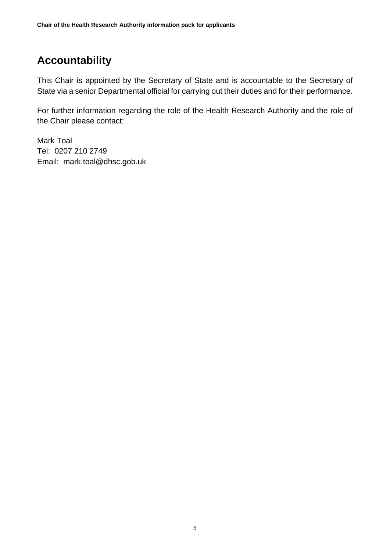## **Accountability**

This Chair is appointed by the Secretary of State and is accountable to the Secretary of State via a senior Departmental official for carrying out their duties and for their performance.

For further information regarding the role of the Health Research Authority and the role of the Chair please contact:

Mark Toal Tel: 0207 210 2749 Email: mark.toal@dhsc.gob.uk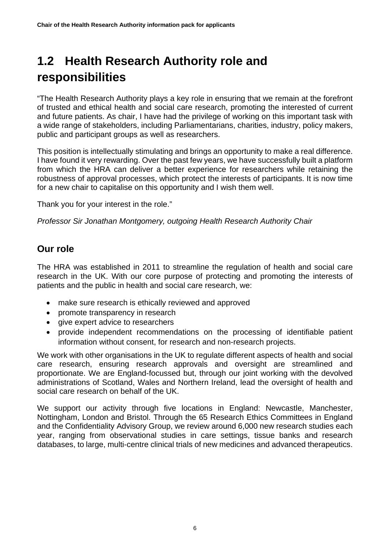## <span id="page-5-0"></span>**1.2 Health Research Authority role and responsibilities**

"The Health Research Authority plays a key role in ensuring that we remain at the forefront of trusted and ethical health and social care research, promoting the interested of current and future patients. As chair, I have had the privilege of working on this important task with a wide range of stakeholders, including Parliamentarians, charities, industry, policy makers, public and participant groups as well as researchers.

This position is intellectually stimulating and brings an opportunity to make a real difference. I have found it very rewarding. Over the past few years, we have successfully built a platform from which the HRA can deliver a better experience for researchers while retaining the robustness of approval processes, which protect the interests of participants. It is now time for a new chair to capitalise on this opportunity and I wish them well.

Thank you for your interest in the role."

*Professor Sir Jonathan Montgomery, outgoing Health Research Authority Chair*

#### **Our role**

The HRA was established in 2011 to streamline the regulation of health and social care research in the UK. With our core purpose of protecting and promoting the interests of patients and the public in health and social care research, we:

- make sure research is ethically reviewed and approved
- promote transparency in research
- give expert advice to researchers
- provide independent recommendations on the processing of identifiable patient information without consent, for research and non-research projects.

We work with other organisations in the UK to regulate different aspects of health and social care research, ensuring research approvals and oversight are streamlined and proportionate. We are England-focussed but, through our joint working with the devolved administrations of Scotland, Wales and Northern Ireland, lead the oversight of health and social care research on behalf of the UK.

We support our activity through five locations in England: Newcastle, Manchester, Nottingham, London and Bristol. Through the 65 Research Ethics Committees in England and the Confidentiality Advisory Group, we review around 6,000 new research studies each year, ranging from observational studies in care settings, tissue banks and research databases, to large, multi-centre clinical trials of new medicines and advanced therapeutics.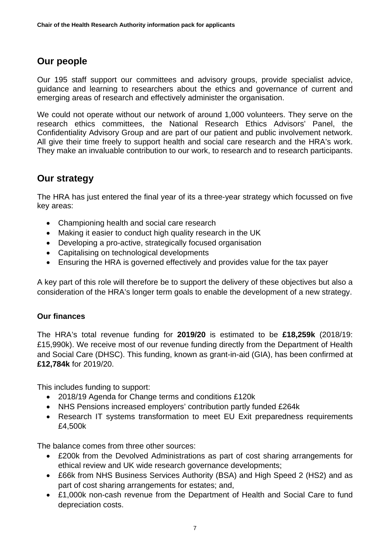#### **Our people**

Our 195 staff support our committees and advisory groups, provide specialist advice, guidance and learning to researchers about the ethics and governance of current and emerging areas of research and effectively administer the organisation.

We could not operate without our network of around 1,000 volunteers. They serve on the research ethics committees, the National Research Ethics Advisors' Panel, the Confidentiality Advisory Group and are part of our patient and public involvement network. All give their time freely to support health and social care research and the HRA's work. They make an invaluable contribution to our work, to research and to research participants.

#### **Our strategy**

The HRA has just entered the final year of its a three-year strategy which focussed on five key areas:

- Championing health and social care research
- Making it easier to conduct high quality research in the UK
- Developing a pro-active, strategically focused organisation
- Capitalising on technological developments
- Ensuring the HRA is governed effectively and provides value for the tax payer

A key part of this role will therefore be to support the delivery of these objectives but also a consideration of the HRA's longer term goals to enable the development of a new strategy.

#### **Our finances**

The HRA's total revenue funding for **2019/20** is estimated to be **£18,259k** (2018/19: £15,990k). We receive most of our revenue funding directly from the Department of Health and Social Care (DHSC). This funding, known as grant-in-aid (GIA), has been confirmed at **£12,784k** for 2019/20.

This includes funding to support:

- 2018/19 Agenda for Change terms and conditions £120k
- NHS Pensions increased employers' contribution partly funded £264k
- Research IT systems transformation to meet EU Exit preparedness requirements £4,500k

The balance comes from three other sources:

- £200k from the Devolved Administrations as part of cost sharing arrangements for ethical review and UK wide research governance developments;
- £66k from NHS Business Services Authority (BSA) and High Speed 2 (HS2) and as part of cost sharing arrangements for estates; and,
- £1,000k non-cash revenue from the Department of Health and Social Care to fund depreciation costs.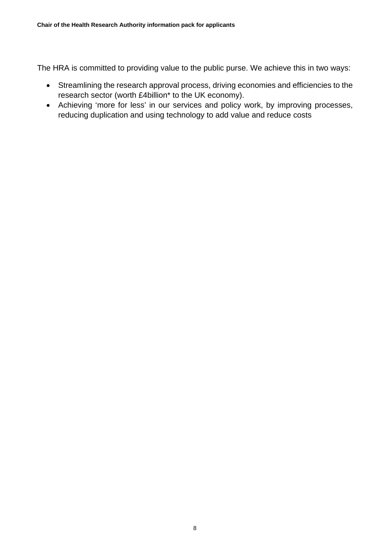The HRA is committed to providing value to the public purse. We achieve this in two ways:

- Streamlining the research approval process, driving economies and efficiencies to the research sector (worth £4billion\* to the UK economy).
- Achieving 'more for less' in our services and policy work, by improving processes, reducing duplication and using technology to add value and reduce costs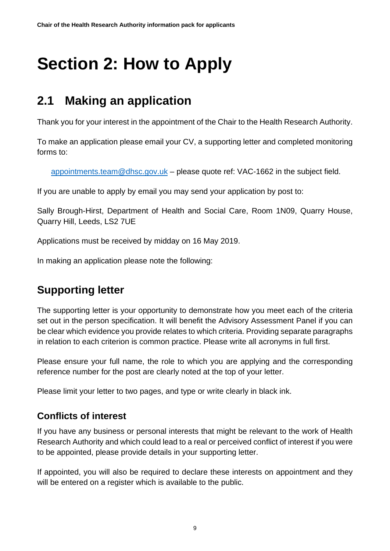# <span id="page-8-0"></span>**Section 2: How to Apply**

## <span id="page-8-1"></span>**2.1 Making an application**

Thank you for your interest in the appointment of the Chair to the Health Research Authority.

To make an application please email your CV, a supporting letter and completed monitoring forms to:

[appointments.team@dhsc.gov.uk](mailto:appointments.team@dhsc.gov.uk) – please quote ref: VAC-1662 in the subject field.

If you are unable to apply by email you may send your application by post to:

Sally Brough-Hirst, Department of Health and Social Care, Room 1N09, Quarry House, Quarry Hill, Leeds, LS2 7UE

Applications must be received by midday on 16 May 2019.

In making an application please note the following:

## **Supporting letter**

The supporting letter is your opportunity to demonstrate how you meet each of the criteria set out in the person specification. It will benefit the Advisory Assessment Panel if you can be clear which evidence you provide relates to which criteria. Providing separate paragraphs in relation to each criterion is common practice. Please write all acronyms in full first.

Please ensure your full name, the role to which you are applying and the corresponding reference number for the post are clearly noted at the top of your letter.

Please limit your letter to two pages, and type or write clearly in black ink.

#### **Conflicts of interest**

If you have any business or personal interests that might be relevant to the work of Health Research Authority and which could lead to a real or perceived conflict of interest if you were to be appointed, please provide details in your supporting letter.

If appointed, you will also be required to declare these interests on appointment and they will be entered on a register which is available to the public.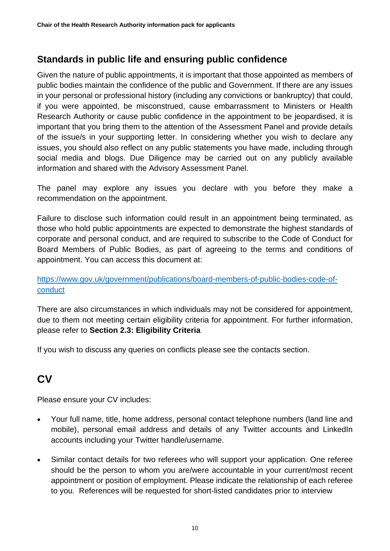#### **Standards in public life and ensuring public confidence**

Given the nature of public appointments, it is important that those appointed as members of public bodies maintain the confidence of the public and Government. If there are any issues in your personal or professional history (including any convictions or bankruptcy) that could, if you were appointed, be misconstrued, cause embarrassment to Ministers or Health Research Authority or cause public confidence in the appointment to be jeopardised, it is important that you bring them to the attention of the Assessment Panel and provide details of the issue/s in your supporting letter. In considering whether you wish to declare any issues, you should also reflect on any public statements you have made, including through social media and blogs. Due Diligence may be carried out on any publicly available information and shared with the Advisory Assessment Panel.

The panel may explore any issues you declare with you before they make a recommendation on the appointment.

Failure to disclose such information could result in an appointment being terminated, as those who hold public appointments are expected to demonstrate the highest standards of corporate and personal conduct, and are required to subscribe to the Code of Conduct for Board Members of Public Bodies, as part of agreeing to the terms and conditions of appointment. You can access this document at:

#### [https://www.gov.uk/government/publications/board-members-of-public-bodies-code-of](https://www.gov.uk/government/publications/board-members-of-public-bodies-code-of-conduct)[conduct](https://www.gov.uk/government/publications/board-members-of-public-bodies-code-of-conduct)

There are also circumstances in which individuals may not be considered for appointment, due to them not meeting certain eligibility criteria for appointment. For further information, please refer to **Section 2.3: Eligibility Criteria**

If you wish to discuss any queries on conflicts please see the contacts section.

## **CV**

Please ensure your CV includes:

- Your full name, title, home address, personal contact telephone numbers (land line and mobile), personal email address and details of any Twitter accounts and LinkedIn accounts including your Twitter handle/username.
- Similar contact details for two referees who will support your application. One referee should be the person to whom you are/were accountable in your current/most recent appointment or position of employment. Please indicate the relationship of each referee to you. References will be requested for short-listed candidates prior to interview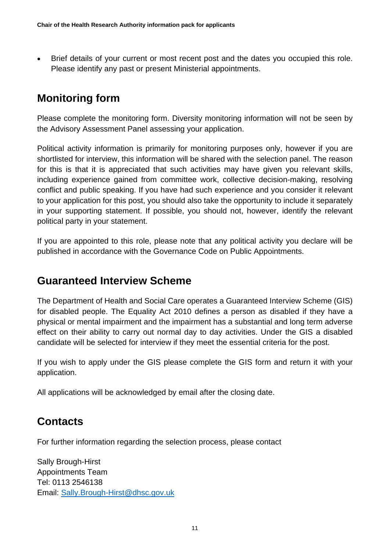• Brief details of your current or most recent post and the dates you occupied this role. Please identify any past or present Ministerial appointments.

## **Monitoring form**

Please complete the monitoring form. Diversity monitoring information will not be seen by the Advisory Assessment Panel assessing your application.

Political activity information is primarily for monitoring purposes only, however if you are shortlisted for interview, this information will be shared with the selection panel. The reason for this is that it is appreciated that such activities may have given you relevant skills, including experience gained from committee work, collective decision-making, resolving conflict and public speaking. If you have had such experience and you consider it relevant to your application for this post, you should also take the opportunity to include it separately in your supporting statement. If possible, you should not, however, identify the relevant political party in your statement.

If you are appointed to this role, please note that any political activity you declare will be published in accordance with the Governance Code on Public Appointments.

#### **Guaranteed Interview Scheme**

The Department of Health and Social Care operates a Guaranteed Interview Scheme (GIS) for disabled people. The Equality Act 2010 defines a person as disabled if they have a physical or mental impairment and the impairment has a substantial and long term adverse effect on their ability to carry out normal day to day activities. Under the GIS a disabled candidate will be selected for interview if they meet the essential criteria for the post.

If you wish to apply under the GIS please complete the GIS form and return it with your application.

All applications will be acknowledged by email after the closing date.

## **Contacts**

For further information regarding the selection process, please contact

Sally Brough-Hirst Appointments Team Tel: 0113 2546138 Email: [Sally.Brough-Hirst@dhsc.gov.uk](mailto:Sally.Brough-Hirst@dhsc.gov.uk)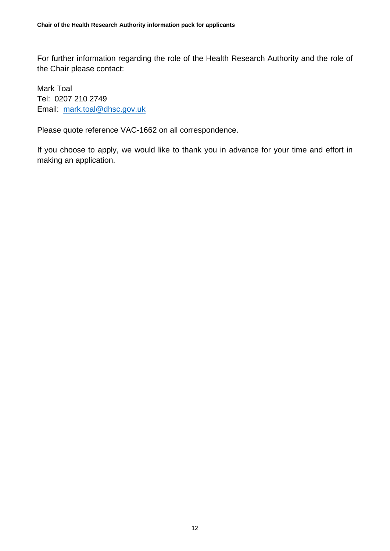For further information regarding the role of the Health Research Authority and the role of the Chair please contact:

Mark Toal Tel: 0207 210 2749 Email: [mark.toal@dhsc.gov.uk](mailto:mark.toal@dhsc.gov.uk)

Please quote reference VAC-1662 on all correspondence.

If you choose to apply, we would like to thank you in advance for your time and effort in making an application.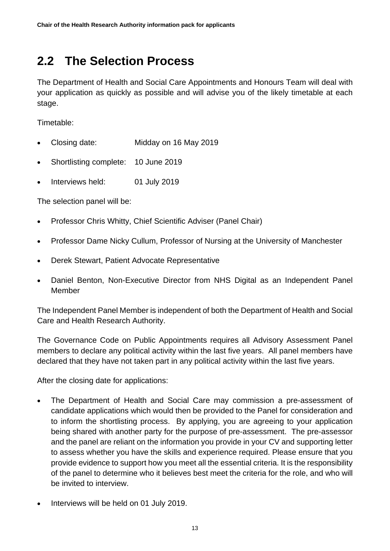## <span id="page-12-0"></span>**2.2 The Selection Process**

The Department of Health and Social Care Appointments and Honours Team will deal with your application as quickly as possible and will advise you of the likely timetable at each stage.

Timetable:

- Closing date: Midday on 16 May 2019
- Shortlisting complete: 10 June 2019
- Interviews held: 01 July 2019

The selection panel will be:

- Professor Chris Whitty, Chief Scientific Adviser (Panel Chair)
- Professor Dame Nicky Cullum, Professor of Nursing at the University of Manchester
- Derek Stewart, Patient Advocate Representative
- Daniel Benton, Non-Executive Director from NHS Digital as an Independent Panel Member

The Independent Panel Member is independent of both the Department of Health and Social Care and Health Research Authority.

The Governance Code on Public Appointments requires all Advisory Assessment Panel members to declare any political activity within the last five years. All panel members have declared that they have not taken part in any political activity within the last five years.

After the closing date for applications:

- The Department of Health and Social Care may commission a pre-assessment of candidate applications which would then be provided to the Panel for consideration and to inform the shortlisting process. By applying, you are agreeing to your application being shared with another party for the purpose of pre-assessment. The pre-assessor and the panel are reliant on the information you provide in your CV and supporting letter to assess whether you have the skills and experience required. Please ensure that you provide evidence to support how you meet all the essential criteria. It is the responsibility of the panel to determine who it believes best meet the criteria for the role, and who will be invited to interview.
- Interviews will be held on 01 July 2019.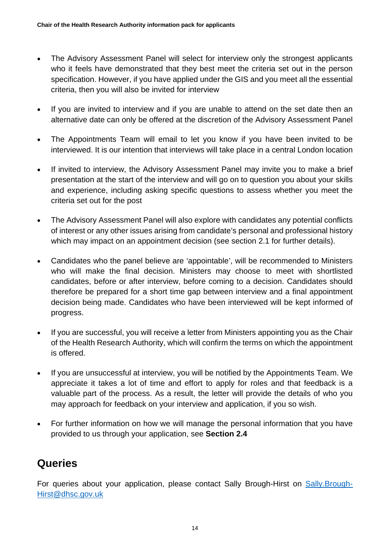- The Advisory Assessment Panel will select for interview only the strongest applicants who it feels have demonstrated that they best meet the criteria set out in the person specification. However, if you have applied under the GIS and you meet all the essential criteria, then you will also be invited for interview
- If you are invited to interview and if you are unable to attend on the set date then an alternative date can only be offered at the discretion of the Advisory Assessment Panel
- The Appointments Team will email to let you know if you have been invited to be interviewed. It is our intention that interviews will take place in a central London location
- If invited to interview, the Advisory Assessment Panel may invite you to make a brief presentation at the start of the interview and will go on to question you about your skills and experience, including asking specific questions to assess whether you meet the criteria set out for the post
- The Advisory Assessment Panel will also explore with candidates any potential conflicts of interest or any other issues arising from candidate's personal and professional history which may impact on an appointment decision (see section 2.1 for further details).
- Candidates who the panel believe are 'appointable', will be recommended to Ministers who will make the final decision. Ministers may choose to meet with shortlisted candidates, before or after interview, before coming to a decision. Candidates should therefore be prepared for a short time gap between interview and a final appointment decision being made. Candidates who have been interviewed will be kept informed of progress.
- If you are successful, you will receive a letter from Ministers appointing you as the Chair of the Health Research Authority, which will confirm the terms on which the appointment is offered.
- If you are unsuccessful at interview, you will be notified by the Appointments Team. We appreciate it takes a lot of time and effort to apply for roles and that feedback is a valuable part of the process. As a result, the letter will provide the details of who you may approach for feedback on your interview and application, if you so wish.
- For further information on how we will manage the personal information that you have provided to us through your application, see **Section 2.4**

#### **Queries**

For queries about your application, please contact Sally Brough-Hirst on [Sally.Brough-](mailto:Sally.Brough-Hirst@dhsc.gov.uk)[Hirst@dhsc.gov.uk](mailto:Sally.Brough-Hirst@dhsc.gov.uk)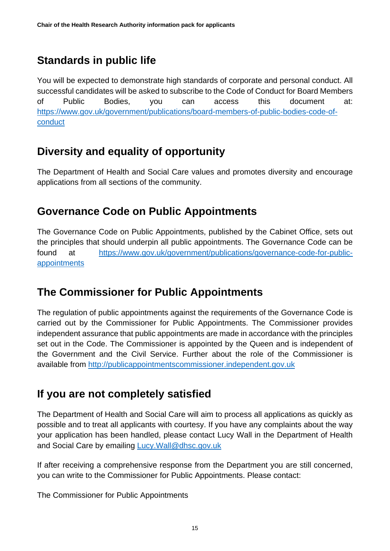## **Standards in public life**

You will be expected to demonstrate high standards of corporate and personal conduct. All successful candidates will be asked to subscribe to the Code of Conduct for Board Members of Public Bodies, you can access this document at: [https://www.gov.uk/government/publications/board-members-of-public-bodies-code-of](https://www.gov.uk/government/publications/board-members-of-public-bodies-code-of-conduct)[conduct](https://www.gov.uk/government/publications/board-members-of-public-bodies-code-of-conduct)

#### **Diversity and equality of opportunity**

The Department of Health and Social Care values and promotes diversity and encourage applications from all sections of the community.

#### **Governance Code on Public Appointments**

The Governance Code on Public Appointments, published by the Cabinet Office, sets out the principles that should underpin all public appointments. The Governance Code can be found at [https://www.gov.uk/government/publications/governance-code-for-public](https://www.gov.uk/government/publications/governance-code-for-public-appointments)[appointments](https://www.gov.uk/government/publications/governance-code-for-public-appointments)

#### **The Commissioner for Public Appointments**

The regulation of public appointments against the requirements of the Governance Code is carried out by the Commissioner for Public Appointments. The Commissioner provides independent assurance that public appointments are made in accordance with the principles set out in the Code. The Commissioner is appointed by the Queen and is independent of the Government and the Civil Service. Further about the role of the Commissioner is available from [http://publicappointmentscommissioner.independent.gov.uk](http://publicappointmentscommissioner.independent.gov.uk/) 

#### **If you are not completely satisfied**

The Department of Health and Social Care will aim to process all applications as quickly as possible and to treat all applicants with courtesy. If you have any complaints about the way your application has been handled, please contact Lucy Wall in the Department of Health and Social Care by emailing [Lucy.Wall@dhsc.gov.uk](mailto:Lucy.Wall@dhsc.gov.uk)

If after receiving a comprehensive response from the Department you are still concerned, you can write to the Commissioner for Public Appointments. Please contact:

The Commissioner for Public Appointments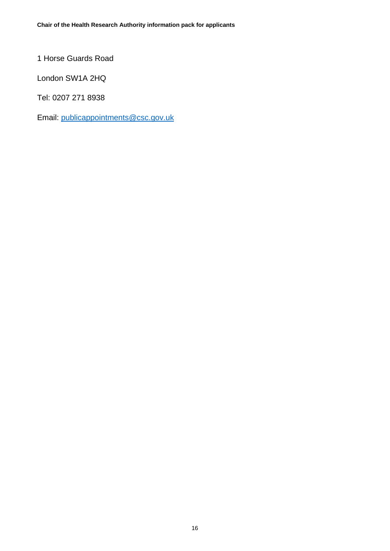1 Horse Guards Road

London SW1A 2HQ

Tel: 0207 271 8938

Email: [publicappointments@csc.gov.uk](mailto:publicappointments@csc.gsi.gov.uk)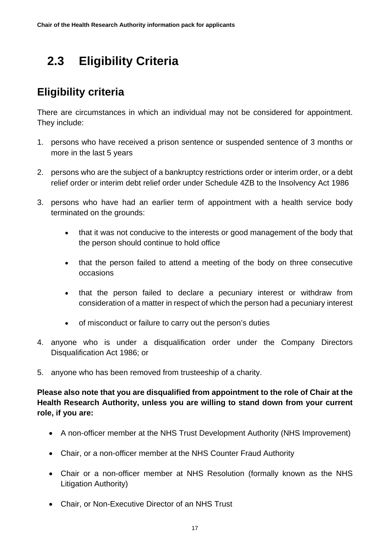# <span id="page-16-0"></span> **2.3 Eligibility Criteria**

## **Eligibility criteria**

There are circumstances in which an individual may not be considered for appointment. They include:

- 1. persons who have received a prison sentence or suspended sentence of 3 months or more in the last 5 years
- 2. persons who are the subject of a bankruptcy restrictions order or interim order, or a debt relief order or interim debt relief order under Schedule 4ZB to the Insolvency Act 1986
- 3. persons who have had an earlier term of appointment with a health service body terminated on the grounds:
	- that it was not conducive to the interests or good management of the body that the person should continue to hold office
	- that the person failed to attend a meeting of the body on three consecutive occasions
	- that the person failed to declare a pecuniary interest or withdraw from consideration of a matter in respect of which the person had a pecuniary interest
	- of misconduct or failure to carry out the person's duties
- 4. anyone who is under a disqualification order under the Company Directors Disqualification Act 1986; or
- 5. anyone who has been removed from trusteeship of a charity.

**Please also note that you are disqualified from appointment to the role of Chair at the Health Research Authority, unless you are willing to stand down from your current role, if you are:**

- A non-officer member at the NHS Trust Development Authority (NHS Improvement)
- Chair, or a non-officer member at the NHS Counter Fraud Authority
- Chair or a non-officer member at NHS Resolution (formally known as the NHS Litigation Authority)
- Chair, or Non-Executive Director of an NHS Trust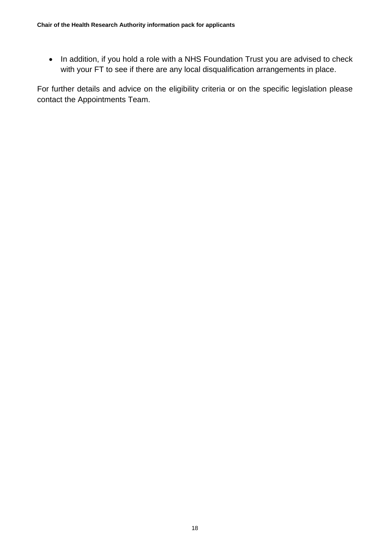• In addition, if you hold a role with a NHS Foundation Trust you are advised to check with your FT to see if there are any local disqualification arrangements in place.

For further details and advice on the eligibility criteria or on the specific legislation please contact the Appointments Team.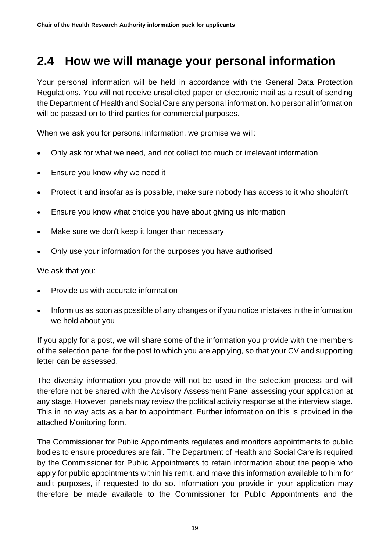## <span id="page-18-0"></span>**2.4 How we will manage your personal information**

Your personal information will be held in accordance with the General Data Protection Regulations. You will not receive unsolicited paper or electronic mail as a result of sending the Department of Health and Social Care any personal information. No personal information will be passed on to third parties for commercial purposes.

When we ask you for personal information, we promise we will:

- Only ask for what we need, and not collect too much or irrelevant information
- Ensure you know why we need it
- Protect it and insofar as is possible, make sure nobody has access to it who shouldn't
- Ensure you know what choice you have about giving us information
- Make sure we don't keep it longer than necessary
- Only use your information for the purposes you have authorised

We ask that you:

- Provide us with accurate information
- Inform us as soon as possible of any changes or if you notice mistakes in the information we hold about you

If you apply for a post, we will share some of the information you provide with the members of the selection panel for the post to which you are applying, so that your CV and supporting letter can be assessed.

The diversity information you provide will not be used in the selection process and will therefore not be shared with the Advisory Assessment Panel assessing your application at any stage. However, panels may review the political activity response at the interview stage. This in no way acts as a bar to appointment. Further information on this is provided in the attached Monitoring form.

The Commissioner for Public Appointments regulates and monitors appointments to public bodies to ensure procedures are fair. The Department of Health and Social Care is required by the Commissioner for Public Appointments to retain information about the people who apply for public appointments within his remit, and make this information available to him for audit purposes, if requested to do so. Information you provide in your application may therefore be made available to the Commissioner for Public Appointments and the